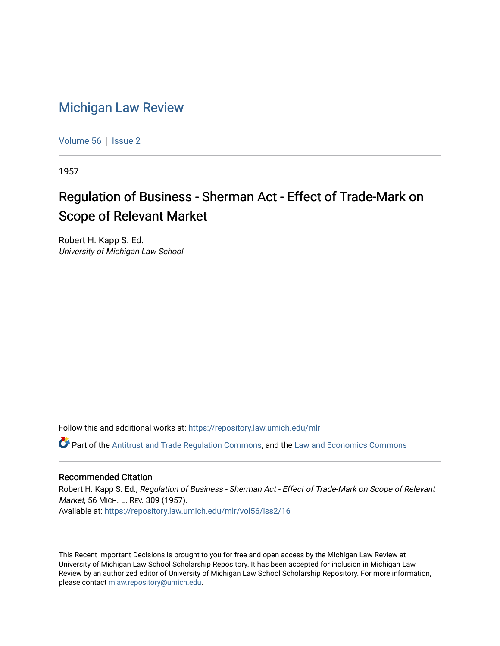## [Michigan Law Review](https://repository.law.umich.edu/mlr)

[Volume 56](https://repository.law.umich.edu/mlr/vol56) | [Issue 2](https://repository.law.umich.edu/mlr/vol56/iss2)

1957

## Regulation of Business - Sherman Act - Effect of Trade-Mark on Scope of Relevant Market

Robert H. Kapp S. Ed. University of Michigan Law School

Follow this and additional works at: [https://repository.law.umich.edu/mlr](https://repository.law.umich.edu/mlr?utm_source=repository.law.umich.edu%2Fmlr%2Fvol56%2Fiss2%2F16&utm_medium=PDF&utm_campaign=PDFCoverPages) 

 $\bullet$  Part of the [Antitrust and Trade Regulation Commons,](http://network.bepress.com/hgg/discipline/911?utm_source=repository.law.umich.edu%2Fmlr%2Fvol56%2Fiss2%2F16&utm_medium=PDF&utm_campaign=PDFCoverPages) and the Law and Economics Commons

## Recommended Citation

Robert H. Kapp S. Ed., Regulation of Business - Sherman Act - Effect of Trade-Mark on Scope of Relevant Market, 56 MICH. L. REV. 309 (1957). Available at: [https://repository.law.umich.edu/mlr/vol56/iss2/16](https://repository.law.umich.edu/mlr/vol56/iss2/16?utm_source=repository.law.umich.edu%2Fmlr%2Fvol56%2Fiss2%2F16&utm_medium=PDF&utm_campaign=PDFCoverPages) 

This Recent Important Decisions is brought to you for free and open access by the Michigan Law Review at University of Michigan Law School Scholarship Repository. It has been accepted for inclusion in Michigan Law Review by an authorized editor of University of Michigan Law School Scholarship Repository. For more information, please contact [mlaw.repository@umich.edu.](mailto:mlaw.repository@umich.edu)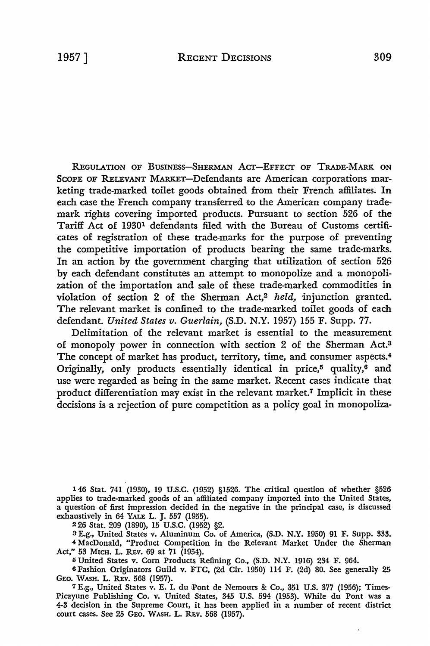REGULATION OF BUSINESS-SHERMAN ACT-EFFECT OF TRADE-MARK ON SCOPE OF RELEVANT MARKET-Defendants are American corporations marketing trade-marked toilet goods obtained from their French affiliates. In each case the French company transferred to the American company trademark rights covering imported products. Pursuant to section 526 of the Tariff Act of 19301 defendants filed with the Bureau of Customs certificates of registration of these trade-marks for the purpose of preventing the competitive importation of products bearing the same trade-marks. In an action by the government charging that utilization of section 526 by each defendant constitutes an attempt to monopolize and a monopolization of the importation and sale of these trade-marked commodities in violation of section 2 of the Sherman Act,2 *held,* injunction granted. The relevant market is confined to the trade-marked toilet goods of each defendant. *United States v. Guerlain,* (S.D. N.Y. 1957) 155 F. Supp. 77.

Delimitation of the relevant market is essential to the measurement of monopoly power in connection with section 2 of the Sherman Act.<sup>8</sup> The concept of market has product, territory, time, and consumer aspects.<sup>4</sup> Originally, only products essentially identical in price,<sup>5</sup> quality, $\overline{6}$  and use were regarded as being in the same market. Recent cases indicate that product differentiation may exist in the relevant market.7 Implicit in these decisions is a rejection of pure competition as a policy goal in monopoliza-

l 46 Stat. 741 (1930), 19 U.S.C. (1952) §1526. The critical question of whether §526 applies to trade-marked goods of an affiliated company imported into the United States, a question of first impression decided in the negative in the principal case, is discussed exhaustively in 64 YALE L. J. 557 (1955).

2 26 Stat. 209 (1890), 15 U.S.C. (1952) §2.

s E.g., United States v. Aluminum Co. of America, (S.D. N.Y. 1950) 91 F. Supp. 333. 4 MacDonald, "Product Competition in the Relevant Market Under the Sherman Act," 53 MICH. L. REV. 69 at 71 (1954).

5 United States v. Corn Products Refining Co., (S.D. N.Y. 1916) 234 F. 964.

6 Fashion Originators Guild v. FTC, (2d Cir. 1950) 114 F. (2d) 80. See generally 25 GEO. WASH. L. REV. 568 (1957).

7 E.g., United States v. E. I. du ,Pont de Nemours &: Co., 351 U.S. 377 (1956); Times-Picayune Publishing Co. v. United States, 345 U.S. 594 (1953). While du Pont was a 4-3 decision in the Supreme Court, it has been applied in a number of recent district court cases. See 25 GEO. WASH. L. REV. 568 (1957).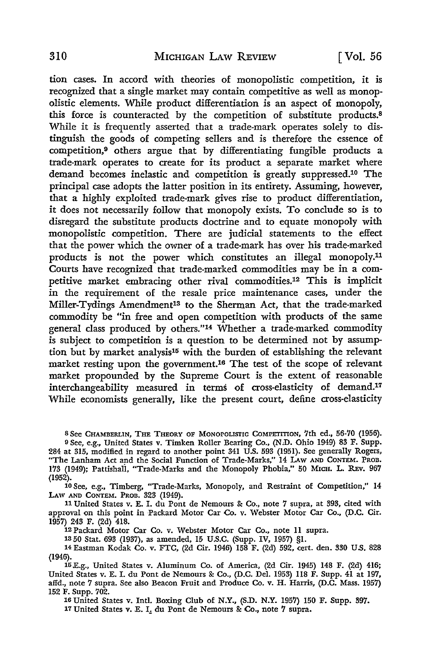tion cases. In accord with theories of monopolistic competition, it is recognized that a single market may contain competitive as well as monopolistic elements. While product differentiation is an aspect of monopoly, this force is counteracted by the competition of substitute products.<sup>8</sup> While it is frequently asserted that a trade-mark operates solely to distinguish the goods of competing sellers and is therefore the essence of competition,9 others argue that by differentiating fungible products a trade-mark operates to create for its product a separate market where demand becomes inelastic and competition is greatly suppressed.10 The principal case adopts the latter position in its entirety. Assuming, however, that a highly exploited trade-mark gives rise to product differentiation, it does not necessarily follow that monopoly exists. To conclude so is to disregard the substitute products doctrine and to equate monopoly with monopolistic competition. There are judicial statements to the effect that the power which the owner of a trade-mark has over his trade-marked products is not the power which constitutes an illegal monopoly.11 Courts have recognized that trade-marked commodities may be in a competitive market embracing other rival commodities.12 This is implicit in the requirement of the resale price maintenance cases, under the Miller-Tydings Amendment13 to the Sherman Act, that the trade-marked commodity be "in free and open competition with products of the same general class produced by others."14 Whether a trade-marked commodity is subject to competition is a question to be determined not by assumption but by market analysis<sup>15</sup> with the burden of establishing the relevant market resting upon the government.16 The test of the scope of relevant market propounded by the Supreme Court is the extent of reasonable interchangeability measured in terms of cross-elasticity of demand.17 While economists generally, like the present court, define cross-elasticity

s See CHAMBERLIN, THE THEORY OF MONOPOLISTIC COMPETITION, 7th ed., 56-70 (1956).

<sup>9</sup>See, e.g., United States v. Timken Roller Bearing Co., (N .D. Ohio 1949) 83 F. Supp. 284 at 315, modified in regard to another point 341 U.S. 593 (1951). See generally Rogers, "The Lanham Act and the Social Function of Trade-Marks," 14 LAW AND CONTEM. PROB. 173 (1949); Pattishali, "Trade-Marks and the Monopoly Phobia," 50 MICH. L. REv. 967 (1952).

10 See, e.g., Timberg, "Trade-Marks, Monopoly, and Restraint of Competition," 14 LAW AND CONTEM. PROB. 323 (1949).

11 United States v. E. I. du Pont de Nemours & Co., note 7 supra, at 393, cited with approval on this point in Packard Motor Car Co. v. Webster Motor Car Co., (D.C. Cir. 1957) 243 F. (2d) 418.

12 Packard Motor Car Co. v. Webster Motor Car Co., note 11 supra.

13 50 Stat. 693 (1937), as amended, 15 U.S.C. (Supp. IV, 1957) §1.

14 Eastman Kodak Co. v. FTC, (2d Cir. 1946) 158 F. (2d) 592, cert. den. 330 U.S. 828 (1946).

15.E.g., United States v. Aluminum Co. of America, (2d Cir. 1945) 148 F. (2d) 416; United States v. E. I. du Pont de Nemours & Co., (D.C. Del. 1953) 118 F. Supp. 41 at 197, affd., note 7 supra. See also Beacon Fruit and Produce Co. v. H. Harris, (D.C. Mass. 1957) 152 F. Supp. 702.

16 United States v. Intl. Boxing Club of N.Y., (S.D. N.Y. 1957) 150 F. Supp. 897. 17 United States v. E. I. du Pont de Nemours & Co., note 7 supra.